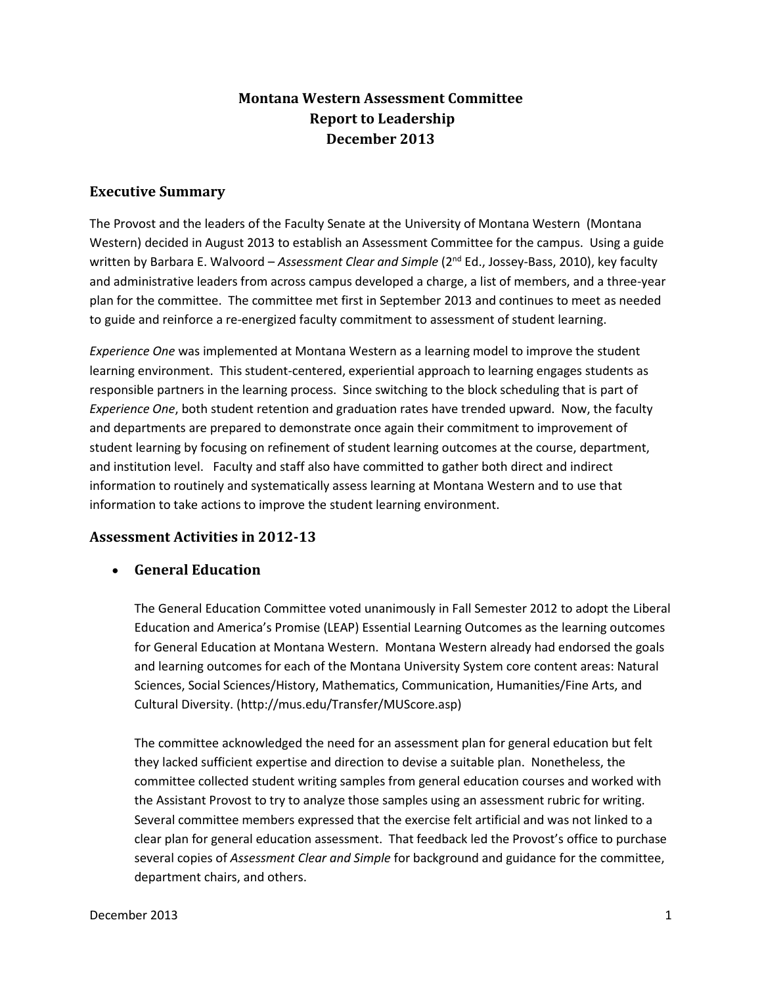# **Montana Western Assessment Committee Report to Leadership December 2013**

### **Executive Summary**

The Provost and the leaders of the Faculty Senate at the University of Montana Western (Montana Western) decided in August 2013 to establish an Assessment Committee for the campus. Using a guide written by Barbara E. Walvoord – *Assessment Clear and Simple* (2 nd Ed., Jossey-Bass, 2010), key faculty and administrative leaders from across campus developed a charge, a list of members, and a three-year plan for the committee. The committee met first in September 2013 and continues to meet as needed to guide and reinforce a re-energized faculty commitment to assessment of student learning.

*Experience One* was implemented at Montana Western as a learning model to improve the student learning environment. This student-centered, experiential approach to learning engages students as responsible partners in the learning process. Since switching to the block scheduling that is part of *Experience One*, both student retention and graduation rates have trended upward. Now, the faculty and departments are prepared to demonstrate once again their commitment to improvement of student learning by focusing on refinement of student learning outcomes at the course, department, and institution level. Faculty and staff also have committed to gather both direct and indirect information to routinely and systematically assess learning at Montana Western and to use that information to take actions to improve the student learning environment.

### **Assessment Activities in 2012-13**

• **General Education**

The General Education Committee voted unanimously in Fall Semester 2012 to adopt the Liberal Education and America's Promise (LEAP) Essential Learning Outcomes as the learning outcomes for General Education at Montana Western. Montana Western already had endorsed the goals and learning outcomes for each of the Montana University System core content areas: Natural Sciences, Social Sciences/History, Mathematics, Communication, Humanities/Fine Arts, and Cultural Diversity. (http://mus.edu/Transfer/MUScore.asp)

The committee acknowledged the need for an assessment plan for general education but felt they lacked sufficient expertise and direction to devise a suitable plan. Nonetheless, the committee collected student writing samples from general education courses and worked with the Assistant Provost to try to analyze those samples using an assessment rubric for writing. Several committee members expressed that the exercise felt artificial and was not linked to a clear plan for general education assessment. That feedback led the Provost's office to purchase several copies of *Assessment Clear and Simple* for background and guidance for the committee, department chairs, and others.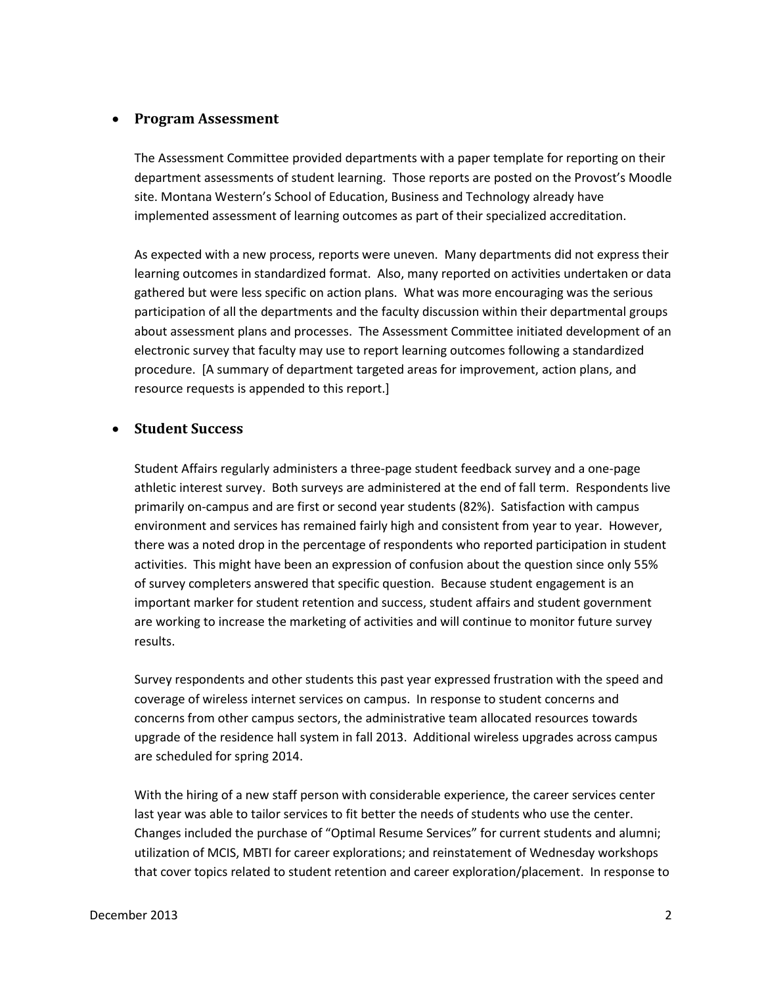### • **Program Assessment**

The Assessment Committee provided departments with a paper template for reporting on their department assessments of student learning. Those reports are posted on the Provost's Moodle site. Montana Western's School of Education, Business and Technology already have implemented assessment of learning outcomes as part of their specialized accreditation.

As expected with a new process, reports were uneven. Many departments did not express their learning outcomes in standardized format. Also, many reported on activities undertaken or data gathered but were less specific on action plans. What was more encouraging was the serious participation of all the departments and the faculty discussion within their departmental groups about assessment plans and processes. The Assessment Committee initiated development of an electronic survey that faculty may use to report learning outcomes following a standardized procedure. [A summary of department targeted areas for improvement, action plans, and resource requests is appended to this report.]

#### • **Student Success**

Student Affairs regularly administers a three-page student feedback survey and a one-page athletic interest survey. Both surveys are administered at the end of fall term. Respondents live primarily on-campus and are first or second year students (82%). Satisfaction with campus environment and services has remained fairly high and consistent from year to year. However, there was a noted drop in the percentage of respondents who reported participation in student activities. This might have been an expression of confusion about the question since only 55% of survey completers answered that specific question. Because student engagement is an important marker for student retention and success, student affairs and student government are working to increase the marketing of activities and will continue to monitor future survey results.

Survey respondents and other students this past year expressed frustration with the speed and coverage of wireless internet services on campus. In response to student concerns and concerns from other campus sectors, the administrative team allocated resources towards upgrade of the residence hall system in fall 2013. Additional wireless upgrades across campus are scheduled for spring 2014.

With the hiring of a new staff person with considerable experience, the career services center last year was able to tailor services to fit better the needs of students who use the center. Changes included the purchase of "Optimal Resume Services" for current students and alumni; utilization of MCIS, MBTI for career explorations; and reinstatement of Wednesday workshops that cover topics related to student retention and career exploration/placement. In response to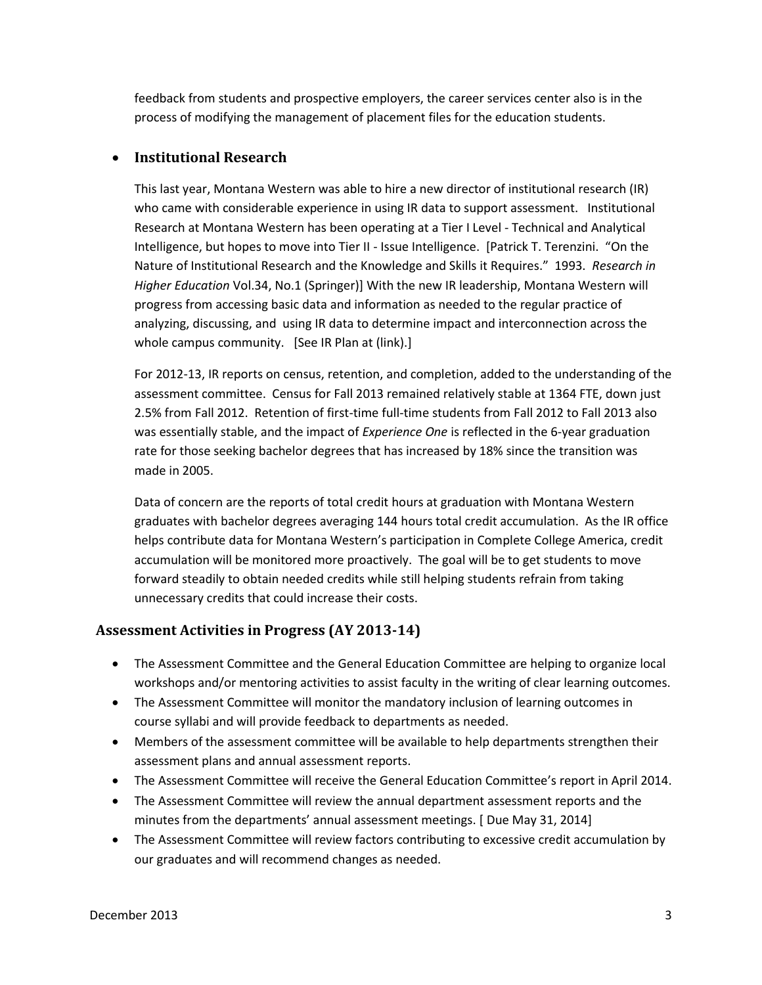feedback from students and prospective employers, the career services center also is in the process of modifying the management of placement files for the education students.

# • **Institutional Research**

This last year, Montana Western was able to hire a new director of institutional research (IR) who came with considerable experience in using IR data to support assessment. Institutional Research at Montana Western has been operating at a Tier I Level - Technical and Analytical Intelligence, but hopes to move into Tier II - Issue Intelligence. [Patrick T. Terenzini. "On the Nature of Institutional Research and the Knowledge and Skills it Requires." 1993. *Research in Higher Education* Vol.34, No.1 (Springer)] With the new IR leadership, Montana Western will progress from accessing basic data and information as needed to the regular practice of analyzing, discussing, and using IR data to determine impact and interconnection across the whole campus community. [See IR Plan at (link).]

For 2012-13, IR reports on census, retention, and completion, added to the understanding of the assessment committee. Census for Fall 2013 remained relatively stable at 1364 FTE, down just 2.5% from Fall 2012. Retention of first-time full-time students from Fall 2012 to Fall 2013 also was essentially stable, and the impact of *Experience One* is reflected in the 6-year graduation rate for those seeking bachelor degrees that has increased by 18% since the transition was made in 2005.

Data of concern are the reports of total credit hours at graduation with Montana Western graduates with bachelor degrees averaging 144 hours total credit accumulation. As the IR office helps contribute data for Montana Western's participation in Complete College America, credit accumulation will be monitored more proactively. The goal will be to get students to move forward steadily to obtain needed credits while still helping students refrain from taking unnecessary credits that could increase their costs.

# **Assessment Activities in Progress (AY 2013-14)**

- The Assessment Committee and the General Education Committee are helping to organize local workshops and/or mentoring activities to assist faculty in the writing of clear learning outcomes.
- The Assessment Committee will monitor the mandatory inclusion of learning outcomes in course syllabi and will provide feedback to departments as needed.
- Members of the assessment committee will be available to help departments strengthen their assessment plans and annual assessment reports.
- The Assessment Committee will receive the General Education Committee's report in April 2014.
- The Assessment Committee will review the annual department assessment reports and the minutes from the departments' annual assessment meetings. [ Due May 31, 2014]
- The Assessment Committee will review factors contributing to excessive credit accumulation by our graduates and will recommend changes as needed.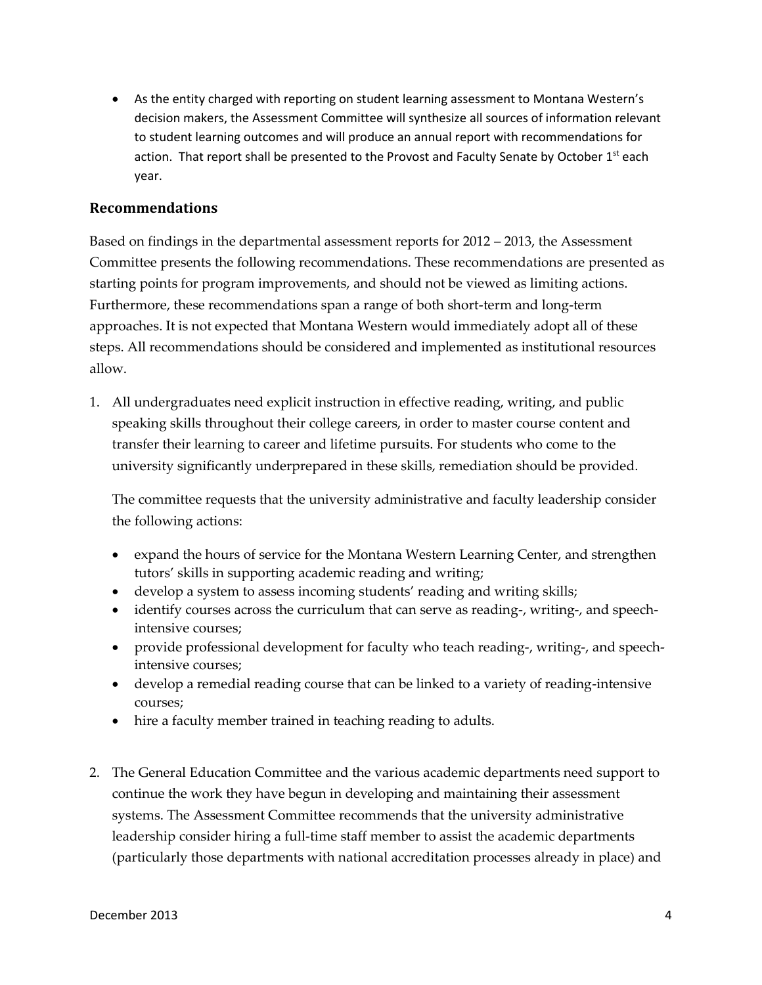• As the entity charged with reporting on student learning assessment to Montana Western's decision makers, the Assessment Committee will synthesize all sources of information relevant to student learning outcomes and will produce an annual report with recommendations for action. That report shall be presented to the Provost and Faculty Senate by October 1<sup>st</sup> each year.

## **Recommendations**

Based on findings in the departmental assessment reports for 2012 – 2013, the Assessment Committee presents the following recommendations. These recommendations are presented as starting points for program improvements, and should not be viewed as limiting actions. Furthermore, these recommendations span a range of both short-term and long-term approaches. It is not expected that Montana Western would immediately adopt all of these steps. All recommendations should be considered and implemented as institutional resources allow.

1. All undergraduates need explicit instruction in effective reading, writing, and public speaking skills throughout their college careers, in order to master course content and transfer their learning to career and lifetime pursuits. For students who come to the university significantly underprepared in these skills, remediation should be provided.

The committee requests that the university administrative and faculty leadership consider the following actions:

- expand the hours of service for the Montana Western Learning Center, and strengthen tutors' skills in supporting academic reading and writing;
- develop a system to assess incoming students' reading and writing skills;
- identify courses across the curriculum that can serve as reading-, writing-, and speechintensive courses;
- provide professional development for faculty who teach reading-, writing-, and speechintensive courses;
- develop a remedial reading course that can be linked to a variety of reading-intensive courses;
- hire a faculty member trained in teaching reading to adults.
- 2. The General Education Committee and the various academic departments need support to continue the work they have begun in developing and maintaining their assessment systems. The Assessment Committee recommends that the university administrative leadership consider hiring a full-time staff member to assist the academic departments (particularly those departments with national accreditation processes already in place) and